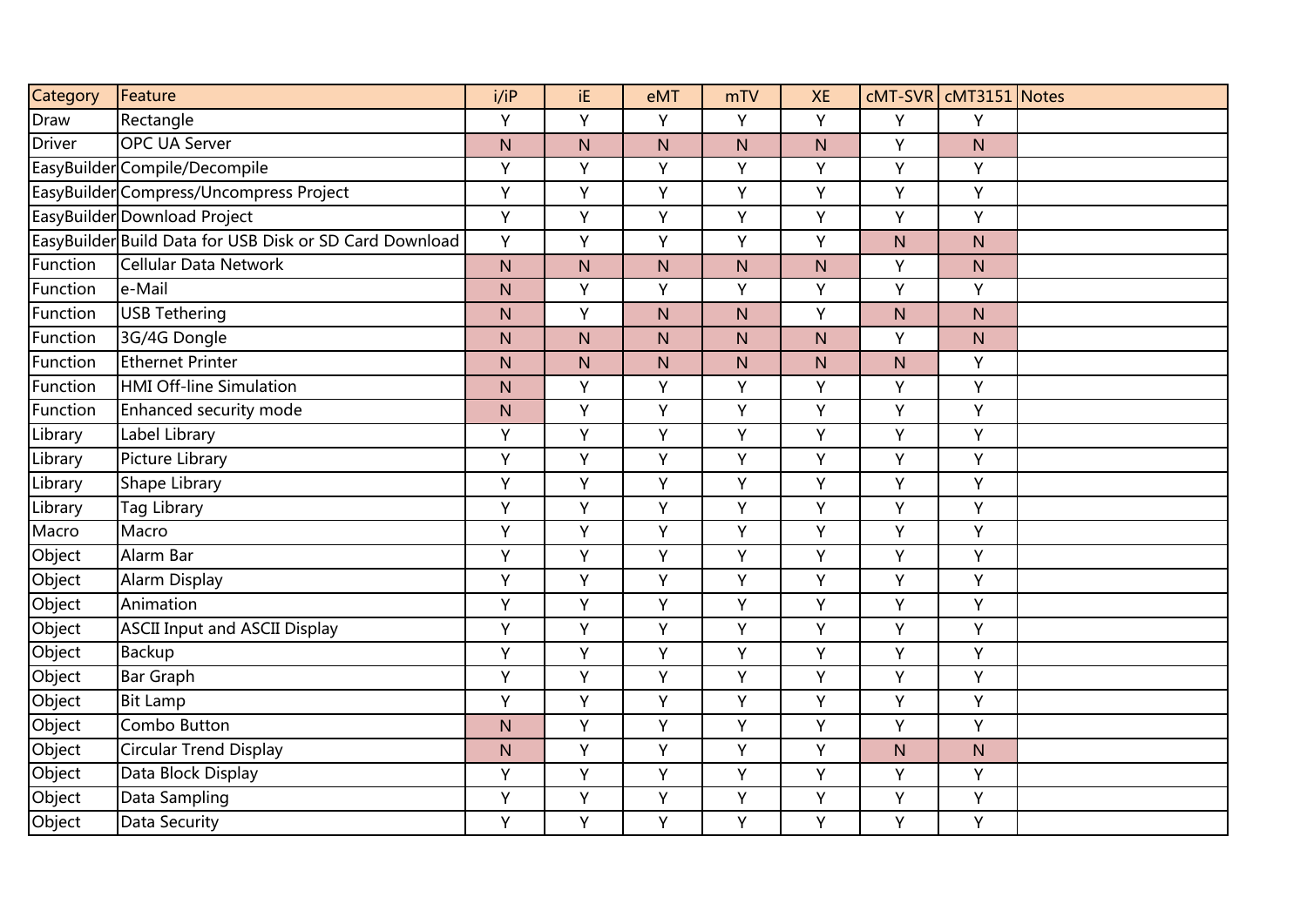| Category      | Feature                                                 | i/IP         | iE.          | eMT          | mTV       | <b>XE</b>    |              | cMT-SVR   cMT3151 Notes |  |
|---------------|---------------------------------------------------------|--------------|--------------|--------------|-----------|--------------|--------------|-------------------------|--|
| Draw          | Rectangle                                               | Y            | Y            | Y            | Y         | Y            | Y            | Y                       |  |
| <b>Driver</b> | <b>OPC UA Server</b>                                    | N            | N            | $\mathsf{N}$ | N         | N            | Υ            | N                       |  |
|               | EasyBuilder Compile/Decompile                           | Y            | Y            | Y            | Υ         | Y            | Y            | Y                       |  |
|               | EasyBuilder Compress/Uncompress Project                 | Y            | Y            | Y            | Y         | Ÿ            | Y            | Y                       |  |
|               | EasyBuilder Download Project                            | Y            | Y            | Υ            | Υ         | Y            | Υ            | Y                       |  |
|               | EasyBuilder Build Data for USB Disk or SD Card Download | Y            | Y            | Y            | Y         | Y            | ${\sf N}$    | $\mathsf{N}$            |  |
| Function      | Cellular Data Network                                   | $\mathsf{N}$ | $\mathsf{N}$ | N            | ${\sf N}$ | ${\sf N}$    | Y            | ${\sf N}$               |  |
| Function      | e-Mail                                                  | N            | Y            | Y            | Υ         | Y            | Y            | Y                       |  |
| Function      | <b>USB Tethering</b>                                    | N            | Y            | N            | N.        | Y            | $\mathsf{N}$ | N                       |  |
| Function      | 3G/4G Dongle                                            | N            | $\mathsf{N}$ | N            | N         | $\mathsf{N}$ | Y            | $\mathsf{N}$            |  |
| Function      | <b>Ethernet Printer</b>                                 | N            | $\mathsf{N}$ | N            | N         | $\mathsf{N}$ | $\mathsf{N}$ | Y                       |  |
| Function      | <b>HMI Off-line Simulation</b>                          | N            | Y            | Υ            | Υ         | Y            | Υ            | Y                       |  |
| Function      | Enhanced security mode                                  | N            | Y            | Υ            | Υ         | Y            | Y            | Y                       |  |
| Library       | Label Library                                           | Y            | Y            | Y            | Y         | Y            | Y            | Y                       |  |
| Library       | Picture Library                                         | Y            | Y            | Y            | Υ         | Y            | Υ            | Y                       |  |
| Library       | Shape Library                                           | Y            | Y            | Υ            | Υ         | Y            | Y            | Y                       |  |
| Library       | <b>Tag Library</b>                                      | Y            | Y            | Υ            | Υ         | Y            | Υ            | Y                       |  |
| Macro         | Macro                                                   | Υ            | Y            | Υ            | Y         | Y            | Y            | Y                       |  |
| Object        | Alarm Bar                                               | Ÿ            | Y            | Ÿ            | Y         | Ÿ            | Y            | Ÿ                       |  |
| Object        | <b>Alarm Display</b>                                    | Y            | Y            | Y            | Y         | Y            | Y            | Y                       |  |
| Object        | Animation                                               | Y            | Y            | Y            | Y         | Y            | Y            | Y                       |  |
| Object        | <b>ASCII Input and ASCII Display</b>                    | Y            | $\mathsf Y$  | Y            | Υ         | Y            | Υ            | Y                       |  |
| Object        | <b>Backup</b>                                           | Y            | Y            | Υ            | Υ         | Y            | Y            | Y                       |  |
| Object        | <b>Bar Graph</b>                                        | Υ            | Y            | Y            | Υ         | Y            | Y            | Y                       |  |
| Object        | <b>Bit Lamp</b>                                         | Y            | Y            | Y            | Y         | Y            | Y            | Υ                       |  |
| Object        | Combo Button                                            | N            | Y            | Y            | Υ         | Y            | Υ            | Y                       |  |
| Object        | <b>Circular Trend Display</b>                           | N            | Y            | Y            | Υ         | Y            | ${\sf N}$    | $\mathsf{N}$            |  |
| Object        | Data Block Display                                      | Y            | Y            | Y            | Y         | Y            | Y            | Y                       |  |
| Object        | Data Sampling                                           | Υ            | Y            | Y            | Υ         | Y            | Y            | Y                       |  |
| Object        | Data Security                                           | Y            | Y            | Y            | Y         | Y            | Y            | Y                       |  |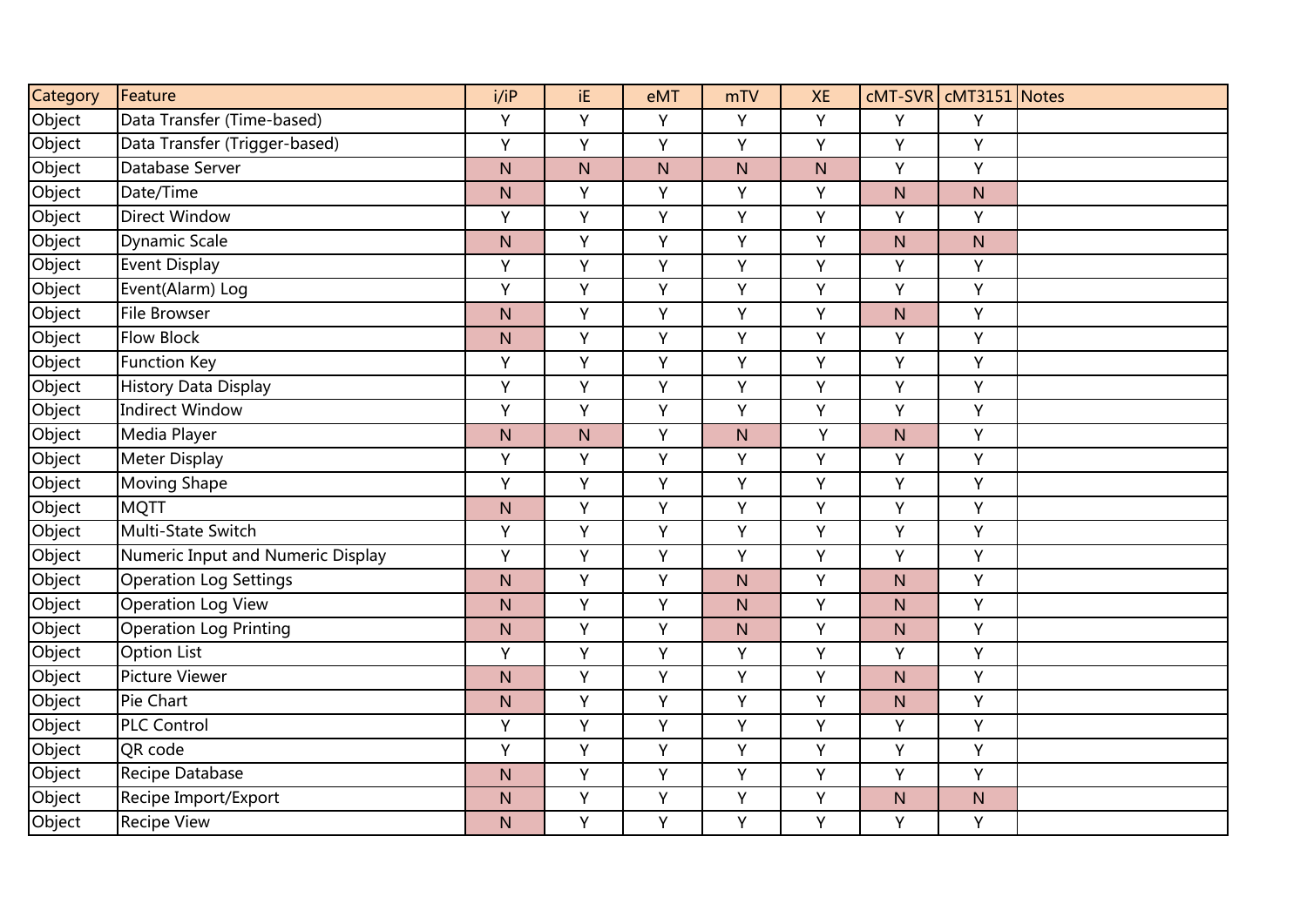| Category | Feature                           | i/iP         | iE.       | eMT          | mTV       | <b>XE</b> |              | cMT-SVR   cMT3151 Notes |  |
|----------|-----------------------------------|--------------|-----------|--------------|-----------|-----------|--------------|-------------------------|--|
| Object   | Data Transfer (Time-based)        | Y            | Y         | Y            | Y         | Y         | Y            | Y                       |  |
| Object   | Data Transfer (Trigger-based)     | Y            | Y         | Υ            | Υ         | Y         | Υ            | Y                       |  |
| Object   | Database Server                   | $\mathsf{N}$ | ${\sf N}$ | $\mathsf{N}$ | ${\sf N}$ | ${\sf N}$ | Y            | Y                       |  |
| Object   | Date/Time                         | N            | Y         | Y            | Y         | Y         | N            | ${\sf N}$               |  |
| Object   | <b>Direct Window</b>              | Υ            | Y         | Υ            | Υ         | Y         | Υ            | Υ                       |  |
| Object   | <b>Dynamic Scale</b>              | N            | Y         | Y            | Υ         | Υ         | N            | N                       |  |
| Object   | <b>Event Display</b>              | Y            | Y         | Υ            | Υ         | Υ         | Υ            | Y                       |  |
| Object   | Event(Alarm) Log                  | Y            | Y         | Y            | Y         | Y         | Υ            | Y                       |  |
| Object   | <b>File Browser</b>               | N            | Y         | Υ            | Υ         | Y         | N            | Y                       |  |
| Object   | <b>Flow Block</b>                 | $\mathsf{N}$ | Y         | Y            | Y         | Y         | Y            | Y                       |  |
| Object   | <b>Function Key</b>               | Y            | Y         | Y            | Y         | Y         | Y            | Y                       |  |
| Object   | <b>History Data Display</b>       | Y            | Y         | Y            | Υ         | Y         | Y            | Y                       |  |
| Object   | <b>Indirect Window</b>            | Y            | Y         | Υ            | Υ         | Y         | Y            | Y                       |  |
| Object   | Media Player                      | N            | N         | Υ            | ${\sf N}$ | Υ         | $\mathsf{N}$ | Υ                       |  |
| Object   | <b>Meter Display</b>              | Y            | Y         | Y            | Υ         | Y         | Υ            | Y                       |  |
| Object   | <b>Moving Shape</b>               | Y            | Y         | Υ            | Υ         | Y         | Υ            | Ÿ                       |  |
| Object   | <b>MQTT</b>                       | $\mathsf{N}$ | Y         | Υ            | Υ         | Y         | Υ            | Y                       |  |
| Object   | Multi-State Switch                | Y            | Y         | Y            | Υ         | Y         | Y            | Υ                       |  |
| Object   | Numeric Input and Numeric Display | Y            | Y         | Y            | Υ         | Y         | Y            | Y                       |  |
| Object   | <b>Operation Log Settings</b>     | N            | Y         | Y            | N         | Y         | N            | Y                       |  |
| Object   | <b>Operation Log View</b>         | $\mathsf{N}$ | Y         | Y            | ${\sf N}$ | Y         | N            | Y                       |  |
| Object   | <b>Operation Log Printing</b>     | $\mathsf{N}$ | Y         | Y            | ${\sf N}$ | Y         | N            | Y                       |  |
| Object   | <b>Option List</b>                | Y            | Y         | Y            | Υ         | Υ         | Υ            | Y                       |  |
| Object   | <b>Picture Viewer</b>             | N            | Y         | Y            | Υ         | Υ         | N            | Υ                       |  |
| Object   | Pie Chart                         | N            | Y         | Υ            | Y         | Y         | N            | Y                       |  |
| Object   | <b>PLC Control</b>                | Y            | Y         | Y            | Υ         | Y         | Y            | Υ                       |  |
| Object   | QR code                           | Y            | Y         | Y            | Y         | Y         | Y            | Y                       |  |
| Object   | Recipe Database                   | N            | Y         | Y            | Y         | Y         | Y            | Y                       |  |
| Object   | Recipe Import/Export              | $\mathsf{N}$ | Y         | Y            | Υ         | Υ         | N            | N                       |  |
| Object   | <b>Recipe View</b>                | N            | Y         | Y            | Υ         | Y         | Υ            | Y                       |  |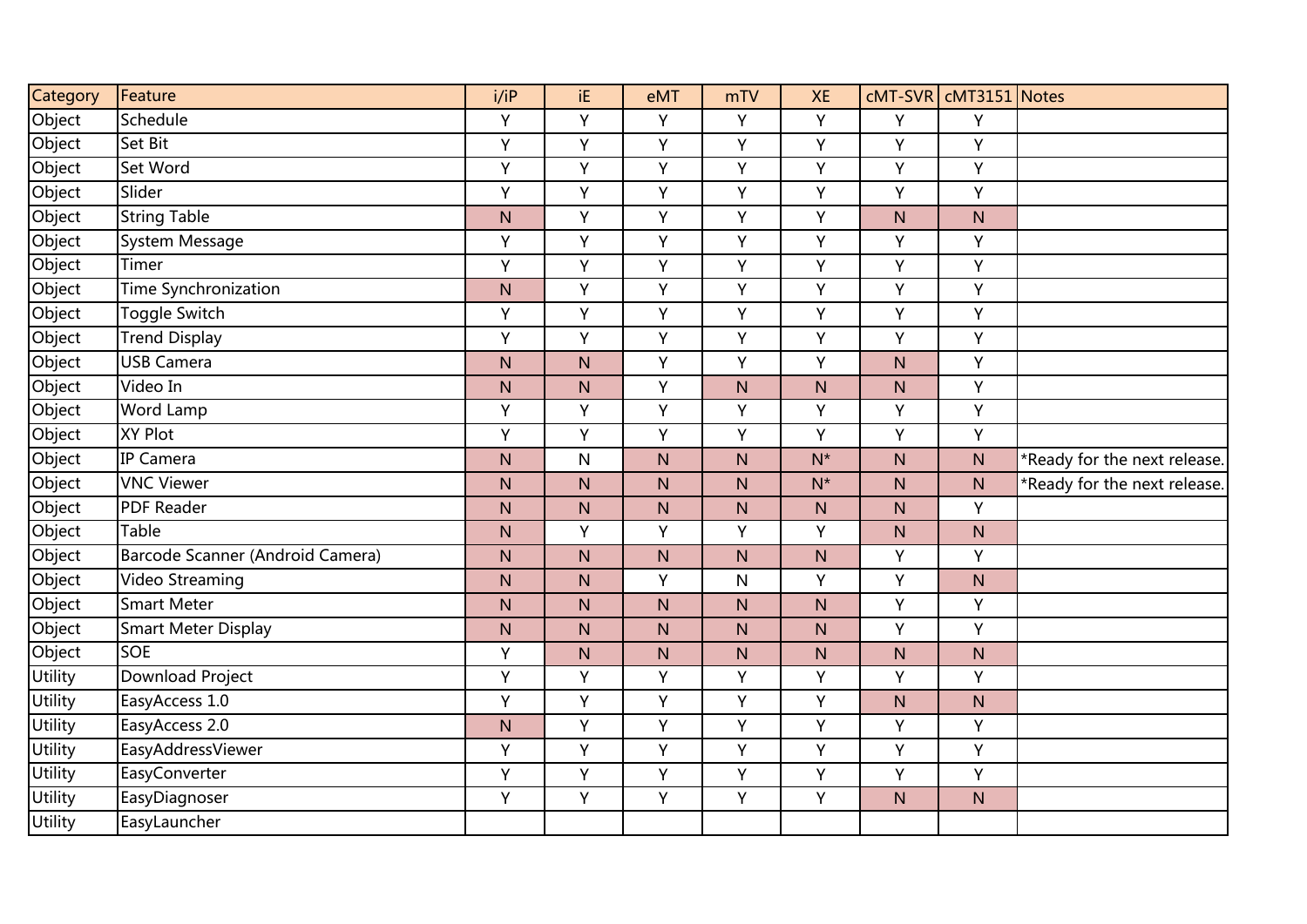| Category       | Feature                          | i/IP         | iE.          | eMT          | mTV          | <b>XE</b>               |           | cMT-SVR   cMT3151 Notes |                              |
|----------------|----------------------------------|--------------|--------------|--------------|--------------|-------------------------|-----------|-------------------------|------------------------------|
| Object         | Schedule                         | Y            | Y            | Y            | Y            | Y                       | Y         | Y                       |                              |
| Object         | Set Bit                          | Y            | Y            | Y            | Υ            | Y                       | Y         | Y                       |                              |
| Object         | Set Word                         | Y            | Y            | Υ            | Y            | Y                       | Y         | Y                       |                              |
| Object         | Slider                           | Y            | Y            | Y            | Υ            | Y                       | Y         | Υ                       |                              |
| Object         | <b>String Table</b>              | $\mathsf{N}$ | Y            | Υ            | Υ            | Y                       | ${\sf N}$ | $\mathsf{N}$            |                              |
| Object         | System Message                   | Y            | Y            | Y            | Υ            | Y                       | Y         | Y                       |                              |
| Object         | Timer                            | Υ            | Y            | Y            | Υ            | Y                       | Υ         | Y                       |                              |
| Object         | <b>Time Synchronization</b>      | N            | Y            | Y            | Y            | Y                       | Y         | Y                       |                              |
| Object         | Toggle Switch                    | Y            | Y            | Y            | Y            | Y                       | Y         | Ÿ                       |                              |
| Object         | <b>Trend Display</b>             | Y            | Y            | Y            | Y            | Y                       | Y         | Y                       |                              |
| Object         | <b>USB Camera</b>                | N            | N            | Y            | Υ            | Y                       | N         | Y                       |                              |
| Object         | Video In                         | $\mathsf{N}$ | ${\sf N}$    | Υ            | ${\sf N}$    | ${\sf N}$               | ${\sf N}$ | Υ                       |                              |
| Object         | Word Lamp                        | Y            | Y            | Y            | Υ            | Y                       | Y         | Y                       |                              |
| Object         | <b>XY Plot</b>                   | Y            | Y            | Ÿ            | Y            | Ÿ                       | Y         | Ÿ                       |                              |
| Object         | IP Camera                        | $\mathsf{N}$ | $\mathsf{N}$ | N            | N            | $N^*$                   | N         | N                       | *Ready for the next release. |
| Object         | <b>VNC Viewer</b>                | $\mathsf{N}$ | N            | $\mathsf{N}$ | N            | $N^*$                   | N         | N                       | *Ready for the next release. |
| Object         | <b>PDF Reader</b>                | $\mathsf{N}$ | ${\sf N}$    | ${\sf N}$    | ${\sf N}$    | ${\sf N}$               | ${\sf N}$ | Y                       |                              |
| Object         | Table                            | $\mathsf{N}$ | Y            | Υ            | Υ            | Y                       | ${\sf N}$ | ${\sf N}$               |                              |
| Object         | Barcode Scanner (Android Camera) | N            | N            | ${\sf N}$    | N            | $\mathsf{N}$            | Y         | Y                       |                              |
| Object         | Video Streaming                  | $\mathsf{N}$ | N            | Y            | $\mathsf{N}$ | Y                       | Υ         | $\mathsf{N}$            |                              |
| Object         | <b>Smart Meter</b>               | N            | N            | N            | N            | $\overline{\mathsf{N}}$ | Υ         | Y                       |                              |
| Object         | <b>Smart Meter Display</b>       | $\mathsf{N}$ | N            | N            | ${\sf N}$    | ${\sf N}$               | Υ         | Y                       |                              |
| Object         | <b>SOE</b>                       | Y            | N            | $\mathsf{N}$ | $\mathsf{N}$ | N                       | N         | $\mathsf{N}$            |                              |
| <b>Utility</b> | <b>Download Project</b>          | Y            | Y            | Y            | Υ            | Y                       | Y         | Y                       |                              |
| Utility        | EasyAccess 1.0                   | Y            | Y            | Υ            | Y            | Y                       | ${\sf N}$ | ${\sf N}$               |                              |
| Utility        | EasyAccess 2.0                   | N            | Y            | Υ            | Υ            | Y                       | Y         | Y                       |                              |
| <b>Utility</b> | EasyAddressViewer                | Y            | $\mathsf Y$  | Y            | Υ            | Y                       | Υ         | Y                       |                              |
| Utility        | EasyConverter                    | Y            | Y            | Y            | Y            | Y                       | Y         | Y                       |                              |
| Utility        | EasyDiagnoser                    | Y            | Y            | Y            | Y            | Y                       | N         | N                       |                              |
| <b>Utility</b> | EasyLauncher                     |              |              |              |              |                         |           |                         |                              |